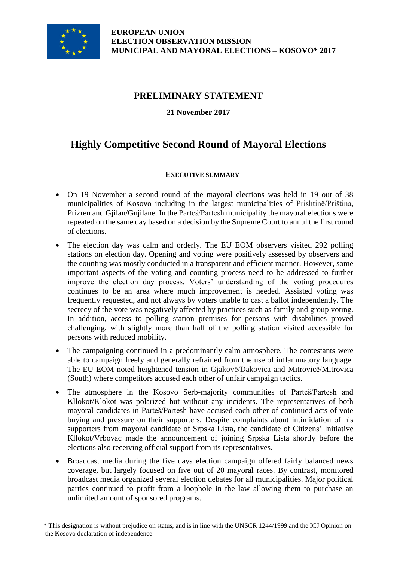

\_\_\_\_\_\_\_\_\_\_\_\_\_\_\_\_\_\_\_

# **PRELIMINARY STATEMENT**

**21 November 2017**

# **Highly Competitive Second Round of Mayoral Elections**

## **EXECUTIVE SUMMARY**

- On 19 November a second round of the mayoral elections was held in 19 out of 38 municipalities of Kosovo including in the largest municipalities of Prishtinë/Priština, Prizren and Gjilan/Gnjilane. In the Parteš/Partesh municipality the mayoral elections were repeated on the same day based on a decision by the Supreme Court to annul the first round of elections.
- The election day was calm and orderly. The EU EOM observers visited 292 polling stations on election day. Opening and voting were positively assessed by observers and the counting was mostly conducted in a transparent and efficient manner. However, some important aspects of the voting and counting process need to be addressed to further improve the election day process. Voters' understanding of the voting procedures continues to be an area where much improvement is needed. Assisted voting was frequently requested, and not always by voters unable to cast a ballot independently. The secrecy of the vote was negatively affected by practices such as family and group voting. In addition, access to polling station premises for persons with disabilities proved challenging, with slightly more than half of the polling station visited accessible for persons with reduced mobility.
- The campaigning continued in a predominantly calm atmosphere. The contestants were able to campaign freely and generally refrained from the use of inflammatory language. The EU EOM noted heightened tension in Gjakovë/Đakovica and Mitrovicë/Mitrovica (South) where competitors accused each other of unfair campaign tactics.
- The atmosphere in the Kosovo Serb-majority communities of Parteš/Partesh and Kllokot/Klokot was polarized but without any incidents. The representatives of both mayoral candidates in Parteš/Partesh have accused each other of continued acts of vote buying and pressure on their supporters. Despite complaints about intimidation of his supporters from mayoral candidate of Srpska Lista, the candidate of Citizens' Initiative Kllokot/Vrbovac made the announcement of joining Srpska Lista shortly before the elections also receiving official support from its representatives.
- Broadcast media during the five days election campaign offered fairly balanced news coverage, but largely focused on five out of 20 mayoral races. By contrast, monitored broadcast media organized several election debates for all municipalities. Major political parties continued to profit from a loophole in the law allowing them to purchase an unlimited amount of sponsored programs.

<sup>\*</sup> This designation is without prejudice on status, and is in line with the UNSCR 1244/1999 and the ICJ Opinion on the Kosovo declaration of independence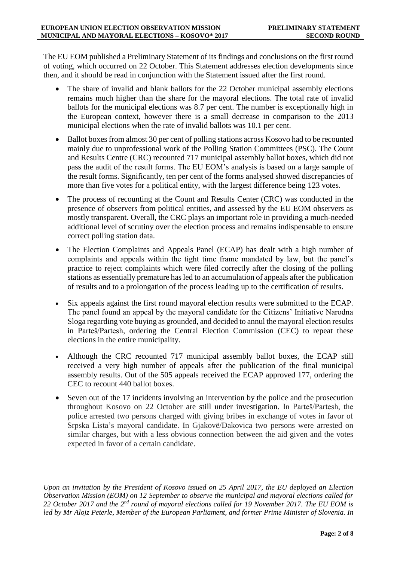The EU EOM published a Preliminary Statement of its findings and conclusions on the first round of voting, which occurred on 22 October. This Statement addresses election developments since then, and it should be read in conjunction with the Statement issued after the first round.

- The share of invalid and blank ballots for the 22 October municipal assembly elections remains much higher than the share for the mayoral elections. The total rate of invalid ballots for the municipal elections was 8.7 per cent. The number is exceptionally high in the European context, however there is a small decrease in comparison to the 2013 municipal elections when the rate of invalid ballots was 10.1 per cent.
- Ballot boxes from almost 30 per cent of polling stations across Kosovo had to be recounted mainly due to unprofessional work of the Polling Station Committees (PSC). The Count and Results Centre (CRC) recounted 717 municipal assembly ballot boxes, which did not pass the audit of the result forms. The EU EOM's analysis is based on a large sample of the result forms. Significantly, ten per cent of the forms analysed showed discrepancies of more than five votes for a political entity, with the largest difference being 123 votes.
- The process of recounting at the Count and Results Center (CRC) was conducted in the presence of observers from political entities, and assessed by the EU EOM observers as mostly transparent. Overall, the CRC plays an important role in providing a much-needed additional level of scrutiny over the election process and remains indispensable to ensure correct polling station data.
- The Election Complaints and Appeals Panel (ECAP) has dealt with a high number of complaints and appeals within the tight time frame mandated by law, but the panel's practice to reject complaints which were filed correctly after the closing of the polling stations as essentially premature has led to an accumulation of appeals after the publication of results and to a prolongation of the process leading up to the certification of results.
- Six appeals against the first round mayoral election results were submitted to the ECAP. The panel found an appeal by the mayoral candidate for the Citizens' Initiative Narodna Sloga regarding vote buying as grounded, and decided to annul the mayoral election results in Parteš/Partesh, ordering the Central Election Commission (CEC) to repeat these elections in the entire municipality.
- Although the CRC recounted 717 municipal assembly ballot boxes, the ECAP still received a very high number of appeals after the publication of the final municipal assembly results. Out of the 505 appeals received the ECAP approved 177, ordering the CEC to recount 440 ballot boxes.
- Seven out of the 17 incidents involving an intervention by the police and the prosecution throughout Kosovo on 22 October are still under investigation. In Parteš/Partesh, the police arrested two persons charged with giving bribes in exchange of votes in favor of Srpska Lista's mayoral candidate. In Gjakovë/Đakovica two persons were arrested on similar charges, but with a less obvious connection between the aid given and the votes expected in favor of a certain candidate.

*Upon an invitation by the President of Kosovo issued on 25 April 2017, the EU deployed an Election Observation Mission (EOM) on 12 September to observe the municipal and mayoral elections called for 22 October 2017 and the 2nd round of mayoral elections called for 19 November 2017. The EU EOM is led by Mr Alojz Peterle, Member of the European Parliament, and former Prime Minister of Slovenia. In*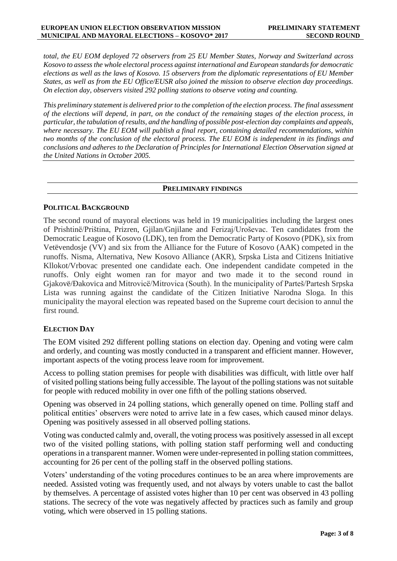*total, the EU EOM deployed 72 observers from 25 EU Member States, Norway and Switzerland across Kosovo to assess the whole electoral process against international and European standards for democratic elections as well as the laws of Kosovo. 15 observers from the diplomatic representations of EU Member States, as well as from the EU Office/EUSR also joined the mission to observe election day proceedings. On election day, observers visited 292 polling stations to observe voting and counting.*

*This preliminary statement is delivered prior to the completion of the election process. The final assessment of the elections will depend, in part, on the conduct of the remaining stages of the election process, in particular, the tabulation of results, and the handling of possible post-election day complaints and appeals, where necessary. The EU EOM will publish a final report, containing detailed recommendations, within two months of the conclusion of the electoral process. The EU EOM is independent in its findings and conclusions and adheres to the Declaration of Principles for International Election Observation signed at the United Nations in October 2005.*

#### **PRELIMINARY FINDINGS**

#### **POLITICAL BACKGROUND**

The second round of mayoral elections was held in 19 municipalities including the largest ones of Prishtinë/Priština, Prizren, Gjilan/Gnjilane and Ferizaj/Uroševac. Ten candidates from the Democratic League of Kosovo (LDK), ten from the Democratic Party of Kosovo (PDK), six from Vetëvendosje (VV) and six from the Alliance for the Future of Kosovo (AAK) competed in the runoffs. Nisma, Alternativa, New Kosovo Alliance (AKR), Srpska Lista and Citizens Initiative Kllokot/Vrbovac presented one candidate each. One independent candidate competed in the runoffs. Only eight women ran for mayor and two made it to the second round in Gjakovë/Đakovica and Mitrovicë/Mitrovica (South). In the municipality of Parteš/Partesh Srpska Lista was running against the candidate of the Citizen Initiative Narodna Sloga. In this municipality the mayoral election was repeated based on the Supreme court decision to annul the first round.

#### **ELECTION DAY**

The EOM visited 292 different polling stations on election day. Opening and voting were calm and orderly, and counting was mostly conducted in a transparent and efficient manner. However, important aspects of the voting process leave room for improvement.

Access to polling station premises for people with disabilities was difficult, with little over half of visited polling stations being fully accessible. The layout of the polling stations was not suitable for people with reduced mobility in over one fifth of the polling stations observed.

Opening was observed in 24 polling stations, which generally opened on time. Polling staff and political entities' observers were noted to arrive late in a few cases, which caused minor delays. Opening was positively assessed in all observed polling stations.

Voting was conducted calmly and, overall, the voting process was positively assessed in all except two of the visited polling stations, with polling station staff performing well and conducting operations in a transparent manner. Women were under-represented in polling station committees, accounting for 26 per cent of the polling staff in the observed polling stations.

Voters' understanding of the voting procedures continues to be an area where improvements are needed. Assisted voting was frequently used, and not always by voters unable to cast the ballot by themselves. A percentage of assisted votes higher than 10 per cent was observed in 43 polling stations. The secrecy of the vote was negatively affected by practices such as family and group voting, which were observed in 15 polling stations.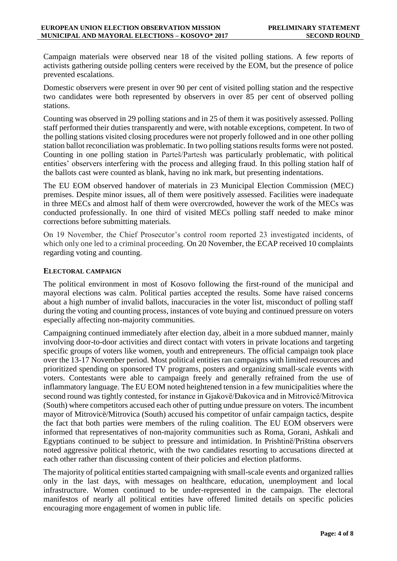Campaign materials were observed near 18 of the visited polling stations. A few reports of activists gathering outside polling centers were received by the EOM, but the presence of police prevented escalations.

Domestic observers were present in over 90 per cent of visited polling station and the respective two candidates were both represented by observers in over 85 per cent of observed polling stations.

Counting was observed in 29 polling stations and in 25 of them it was positively assessed. Polling staff performed their duties transparently and were, with notable exceptions, competent. In two of the polling stations visited closing procedures were not properly followed and in one other polling station ballot reconciliation was problematic. In two polling stations results forms were not posted. Counting in one polling station in Parteš/Partesh was particularly problematic, with political entities' observers interfering with the process and alleging fraud. In this polling station half of the ballots cast were counted as blank, having no ink mark, but presenting indentations.

The EU EOM observed handover of materials in 23 Municipal Election Commission (MEC) premises. Despite minor issues, all of them were positively assessed. Facilities were inadequate in three MECs and almost half of them were overcrowded, however the work of the MECs was conducted professionally. In one third of visited MECs polling staff needed to make minor corrections before submitting materials.

On 19 November, the Chief Prosecutor's control room reported 23 investigated incidents, of which only one led to a criminal proceeding. On 20 November, the ECAP received 10 complaints regarding voting and counting.

#### **ELECTORAL CAMPAIGN**

The political environment in most of Kosovo following the first-round of the municipal and mayoral elections was calm. Political parties accepted the results. Some have raised concerns about a high number of invalid ballots, inaccuracies in the voter list, misconduct of polling staff during the voting and counting process, instances of vote buying and continued pressure on voters especially affecting non-majority communities.

Campaigning continued immediately after election day, albeit in a more subdued manner, mainly involving door-to-door activities and direct contact with voters in private locations and targeting specific groups of voters like women, youth and entrepreneurs. The official campaign took place over the 13-17 November period. Most political entities ran campaigns with limited resources and prioritized spending on sponsored TV programs, posters and organizing small-scale events with voters. Contestants were able to campaign freely and generally refrained from the use of inflammatory language. The EU EOM noted heightened tension in a few municipalities where the second round was tightly contested, for instance in Gjakovë/Đakovica and in Mitrovicë/Mitrovica (South) where competitors accused each other of putting undue pressure on voters. The incumbent mayor of Mitrovicë/Mitrovica (South) accused his competitor of unfair campaign tactics, despite the fact that both parties were members of the ruling coalition. The EU EOM observers were informed that representatives of non-majority communities such as Roma, Gorani, Ashkali and Egyptians continued to be subject to pressure and intimidation. In Prishtinë/Priština observers noted aggressive political rhetoric, with the two candidates resorting to accusations directed at each other rather than discussing content of their policies and election platforms.

The majority of political entities started campaigning with small-scale events and organized rallies only in the last days, with messages on healthcare, education, unemployment and local infrastructure. Women continued to be under-represented in the campaign. The electoral manifestos of nearly all political entities have offered limited details on specific policies encouraging more engagement of women in public life.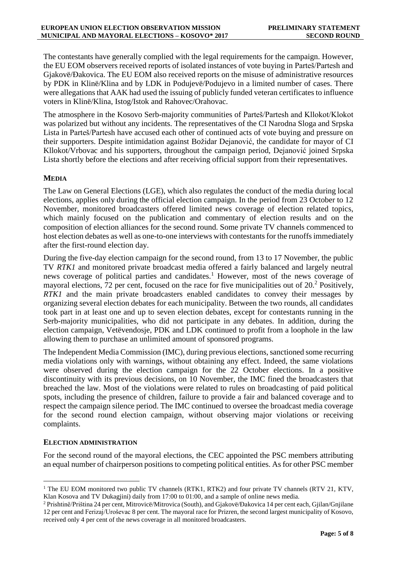The contestants have generally complied with the legal requirements for the campaign. However, the EU EOM observers received reports of isolated instances of vote buying in Parteš/Partesh and Gjakovë/Đakovica. The EU EOM also received reports on the misuse of administrative resources by PDK in Klinë/Klina and by LDK in Podujevë/Podujevo in a limited number of cases. There were allegations that AAK had used the issuing of publicly funded veteran certificates to influence voters in Klinë/Klina, Istog/Istok and Rahovec/Orahovac.

The atmosphere in the Kosovo Serb-majority communities of Parteš/Partesh and Kllokot/Klokot was polarized but without any incidents. The representatives of the CI Narodna Sloga and Srpska Lista in Parteš/Partesh have accused each other of continued acts of vote buying and pressure on their supporters. Despite intimidation against Božidar Dejanović, the candidate for mayor of CI Kllokot/Vrbovac and his supporters, throughout the campaign period, Dejanović joined Srpska Lista shortly before the elections and after receiving official support from their representatives.

### **MEDIA**

The Law on General Elections (LGE), which also regulates the conduct of the media during local elections, applies only during the official election campaign. In the period from 23 October to 12 November, monitored broadcasters offered limited news coverage of election related topics, which mainly focused on the publication and commentary of election results and on the composition of election alliances for the second round. Some private TV channels commenced to host election debates as well as one-to-one interviews with contestants for the runoffs immediately after the first-round election day.

During the five-day election campaign for the second round, from 13 to 17 November, the public TV *RTK1* and monitored private broadcast media offered a fairly balanced and largely neutral news coverage of political parties and candidates.<sup>1</sup> However, most of the news coverage of mayoral elections, 72 per cent, focused on the race for five municipalities out of  $20<sup>2</sup>$  Positively, *RTK1* and the main private broadcasters enabled candidates to convey their messages by organizing several election debates for each municipality. Between the two rounds, all candidates took part in at least one and up to seven election debates, except for contestants running in the Serb-majority municipalities, who did not participate in any debates. In addition, during the election campaign, Vetëvendosje, PDK and LDK continued to profit from a loophole in the law allowing them to purchase an unlimited amount of sponsored programs.

The Independent Media Commission (IMC), during previous elections, sanctioned some recurring media violations only with warnings, without obtaining any effect. Indeed, the same violations were observed during the election campaign for the 22 October elections. In a positive discontinuity with its previous decisions, on 10 November, the IMC fined the broadcasters that breached the law. Most of the violations were related to rules on broadcasting of paid political spots, including the presence of children, failure to provide a fair and balanced coverage and to respect the campaign silence period. The IMC continued to oversee the broadcast media coverage for the second round election campaign, without observing major violations or receiving complaints.

#### **ELECTION ADMINISTRATION**

 $\overline{a}$ 

For the second round of the mayoral elections, the CEC appointed the PSC members attributing an equal number of chairperson positions to competing political entities. As for other PSC member

<sup>&</sup>lt;sup>1</sup> The EU EOM monitored two public TV channels (RTK1, RTK2) and four private TV channels (RTV 21, KTV, Klan Kosova and TV Dukagjini) daily from 17:00 to 01:00, and a sample of online news media.

<sup>2</sup> Prishtinë/Priština 24 per cent, Mitrovicë/Mitrovica (South), and Gjakovë/Đakovica 14 per cent each, Gjilan/Gnjilane 12 per cent and Ferizaj/Uroševac 8 per cent. The mayoral race for Prizren, the second largest municipality of Kosovo, received only 4 per cent of the news coverage in all monitored broadcasters.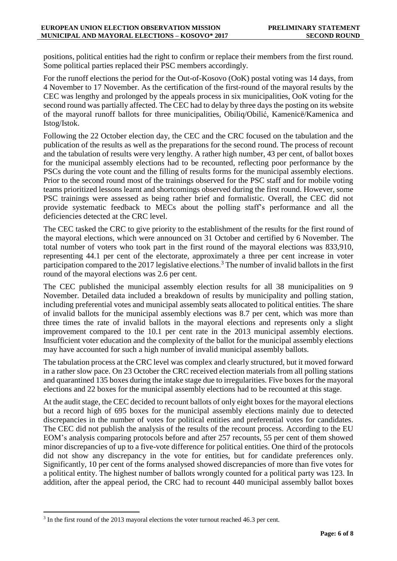positions, political entities had the right to confirm or replace their members from the first round. Some political parties replaced their PSC members accordingly.

For the runoff elections the period for the Out-of-Kosovo (OoK) postal voting was 14 days, from 4 November to 17 November. As the certification of the first-round of the mayoral results by the CEC was lengthy and prolonged by the appeals process in six municipalities, OoK voting for the second round was partially affected. The CEC had to delay by three days the posting on its website of the mayoral runoff ballots for three municipalities, Obiliq/Obilić, Kamenicë/Kamenica and Istog/Istok.

Following the 22 October election day, the CEC and the CRC focused on the tabulation and the publication of the results as well as the preparations for the second round. The process of recount and the tabulation of results were very lengthy. A rather high number, 43 per cent, of ballot boxes for the municipal assembly elections had to be recounted, reflecting poor performance by the PSCs during the vote count and the filling of results forms for the municipal assembly elections. Prior to the second round most of the trainings observed for the PSC staff and for mobile voting teams prioritized lessons learnt and shortcomings observed during the first round. However, some PSC trainings were assessed as being rather brief and formalistic. Overall, the CEC did not provide systematic feedback to MECs about the polling staff's performance and all the deficiencies detected at the CRC level.

The CEC tasked the CRC to give priority to the establishment of the results for the first round of the mayoral elections, which were announced on 31 October and certified by 6 November. The total number of voters who took part in the first round of the mayoral elections was 833,910, representing 44.1 per cent of the electorate, approximately a three per cent increase in voter participation compared to the 2017 legislative elections.<sup>3</sup> The number of invalid ballots in the first round of the mayoral elections was 2.6 per cent.

The CEC published the municipal assembly election results for all 38 municipalities on 9 November. Detailed data included a breakdown of results by municipality and polling station, including preferential votes and municipal assembly seats allocated to political entities. The share of invalid ballots for the municipal assembly elections was 8.7 per cent, which was more than three times the rate of invalid ballots in the mayoral elections and represents only a slight improvement compared to the 10.1 per cent rate in the 2013 municipal assembly elections. Insufficient voter education and the complexity of the ballot for the municipal assembly elections may have accounted for such a high number of invalid municipal assembly ballots.

The tabulation process at the CRC level was complex and clearly structured, but it moved forward in a rather slow pace. On 23 October the CRC received election materials from all polling stations and quarantined 135 boxes during the intake stage due to irregularities. Five boxes for the mayoral elections and 22 boxes for the municipal assembly elections had to be recounted at this stage.

At the audit stage, the CEC decided to recount ballots of only eight boxes for the mayoral elections but a record high of 695 boxes for the municipal assembly elections mainly due to detected discrepancies in the number of votes for political entities and preferential votes for candidates. The CEC did not publish the analysis of the results of the recount process. According to the EU EOM's analysis comparing protocols before and after 257 recounts, 55 per cent of them showed minor discrepancies of up to a five-vote difference for political entities. One third of the protocols did not show any discrepancy in the vote for entities, but for candidate preferences only. Significantly, 10 per cent of the forms analysed showed discrepancies of more than five votes for a political entity. The highest number of ballots wrongly counted for a political party was 123. In addition, after the appeal period, the CRC had to recount 440 municipal assembly ballot boxes

 $\overline{a}$ 

<sup>&</sup>lt;sup>3</sup> In the first round of the 2013 mayoral elections the voter turnout reached 46.3 per cent.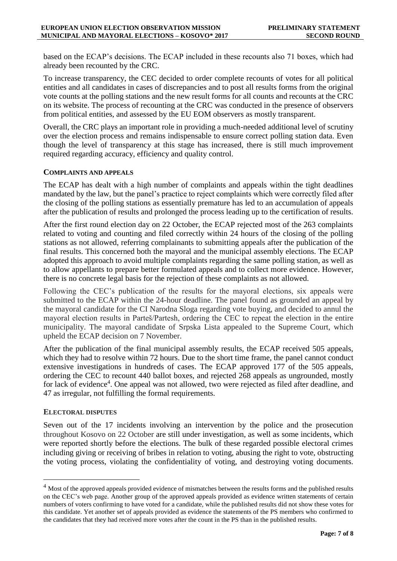based on the ECAP's decisions. The ECAP included in these recounts also 71 boxes, which had already been recounted by the CRC.

To increase transparency, the CEC decided to order complete recounts of votes for all political entities and all candidates in cases of discrepancies and to post all results forms from the original vote counts at the polling stations and the new result forms for all counts and recounts at the CRC on its website. The process of recounting at the CRC was conducted in the presence of observers from political entities, and assessed by the EU EOM observers as mostly transparent.

Overall, the CRC plays an important role in providing a much-needed additional level of scrutiny over the election process and remains indispensable to ensure correct polling station data. Even though the level of transparency at this stage has increased, there is still much improvement required regarding accuracy, efficiency and quality control.

#### **COMPLAINTS AND APPEALS**

The ECAP has dealt with a high number of complaints and appeals within the tight deadlines mandated by the law, but the panel's practice to reject complaints which were correctly filed after the closing of the polling stations as essentially premature has led to an accumulation of appeals after the publication of results and prolonged the process leading up to the certification of results.

After the first round election day on 22 October, the ECAP rejected most of the 263 complaints related to voting and counting and filed correctly within 24 hours of the closing of the polling stations as not allowed, referring complainants to submitting appeals after the publication of the final results. This concerned both the mayoral and the municipal assembly elections. The ECAP adopted this approach to avoid multiple complaints regarding the same polling station, as well as to allow appellants to prepare better formulated appeals and to collect more evidence. However, there is no concrete legal basis for the rejection of these complaints as not allowed.

Following the CEC's publication of the results for the mayoral elections, six appeals were submitted to the ECAP within the 24-hour deadline. The panel found as grounded an appeal by the mayoral candidate for the CI Narodna Sloga regarding vote buying, and decided to annul the mayoral election results in Parteš/Partesh, ordering the CEC to repeat the election in the entire municipality. The mayoral candidate of Srpska Lista appealed to the Supreme Court, which upheld the ECAP decision on 7 November.

After the publication of the final municipal assembly results, the ECAP received 505 appeals, which they had to resolve within 72 hours. Due to the short time frame, the panel cannot conduct extensive investigations in hundreds of cases. The ECAP approved 177 of the 505 appeals, ordering the CEC to recount 440 ballot boxes, and rejected 268 appeals as ungrounded, mostly for lack of evidence<sup>4</sup>. One appeal was not allowed, two were rejected as filed after deadline, and 47 as irregular, not fulfilling the formal requirements.

#### **ELECTORAL DISPUTES**

 $\overline{a}$ 

Seven out of the 17 incidents involving an intervention by the police and the prosecution throughout Kosovo on 22 October are still under investigation, as well as some incidents, which were reported shortly before the elections. The bulk of these regarded possible electoral crimes including giving or receiving of bribes in relation to voting, abusing the right to vote, obstructing the voting process, violating the confidentiality of voting, and destroying voting documents.

<sup>&</sup>lt;sup>4</sup> Most of the approved appeals provided evidence of mismatches between the results forms and the published results on the CEC's web page. Another group of the approved appeals provided as evidence written statements of certain numbers of voters confirming to have voted for a candidate, while the published results did not show these votes for this candidate. Yet another set of appeals provided as evidence the statements of the PS members who confirmed to the candidates that they had received more votes after the count in the PS than in the published results.